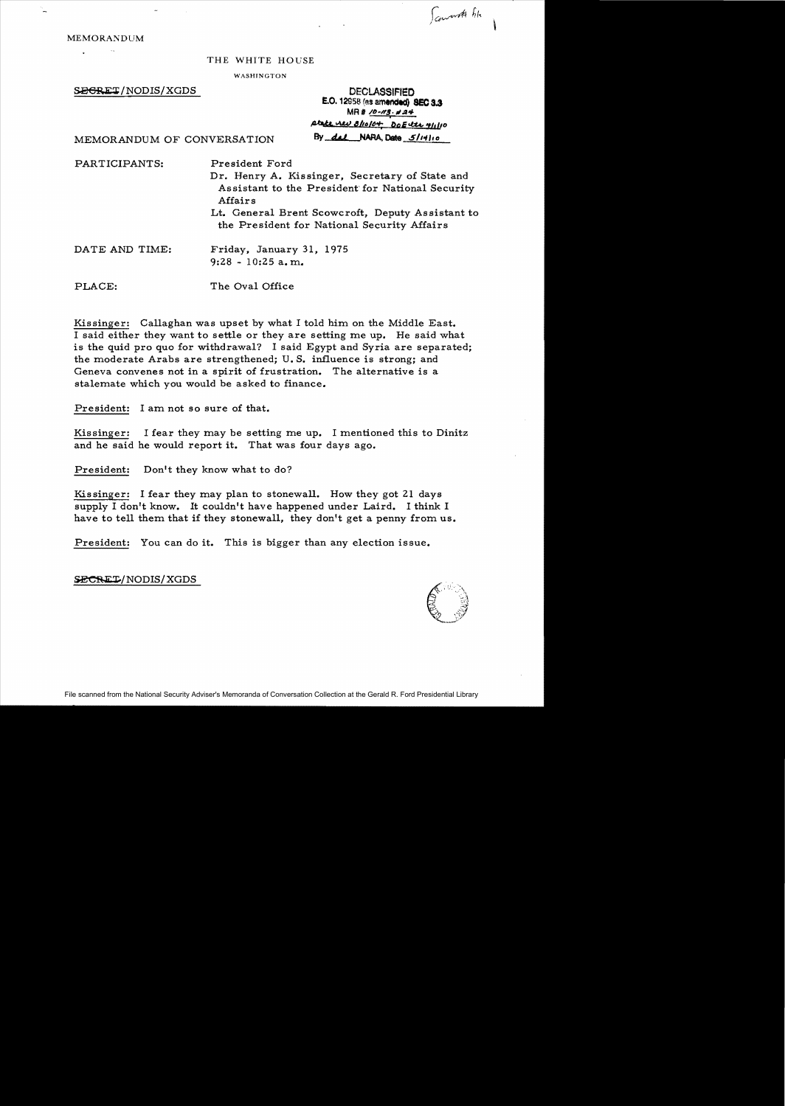**MEMORANDUM**  $\sim 100$ 

## THE WHITE HOUSE

WASHINGTON

 $\overline{\text{SEGRET}}$ /NODIS/XGDS DECLASSIFIED

E.O. 12958 (as amended) SEC 3.3  $MR # /D - M3. p = 24'$ ,4Wc. o.::\.W 8/ifJI6'+; DoEc.tt.t. *Vl.L'o* 

 $\int$ concert the

MEMORANDUM OF CONVERSATION By dal NARA, Date 5/14/10

PARTICIPANTS: President Ford Dr. Henry A. Kissinger, Secretary of State and Assistant to the President' for National Security Affairs Lt. General Brent Scowcroft, Deputy Assistant to the President for National Security Affairs DATE AND TIME: Friday, January 31, 1975  $9:28 - 10:25$  a.m.

PLACE: The Oval Office

Kissinger: Callaghan was upset by what I told him on the Middle East. I said either they want to settle or they are setting me up. He said what is the quid pro quo for withdrawal? I said Egypt and Syria are separated; the moderate Arabs are strengthened; U.S. influence is strong; and Geneva convenes not in a spirit of frustration. The alternative is a stalemate which you would be asked to finance.

President: I am not so sure of that.

Kissinger: I fear they may be setting me up. I mentioned this to Dinitz and he said he would report it. That was four days ago.

President: Don't they know what to do?

Kissinger: I fear they may plan to stonewall. How they got 21 days supply I don't know. It couldn't have happened under Laird. I think I have to tell them that if they stonewall, they don't get a penny from us.

President: You can do it. This is bigger than any election issue.

SECRET/NODIS/XGDS

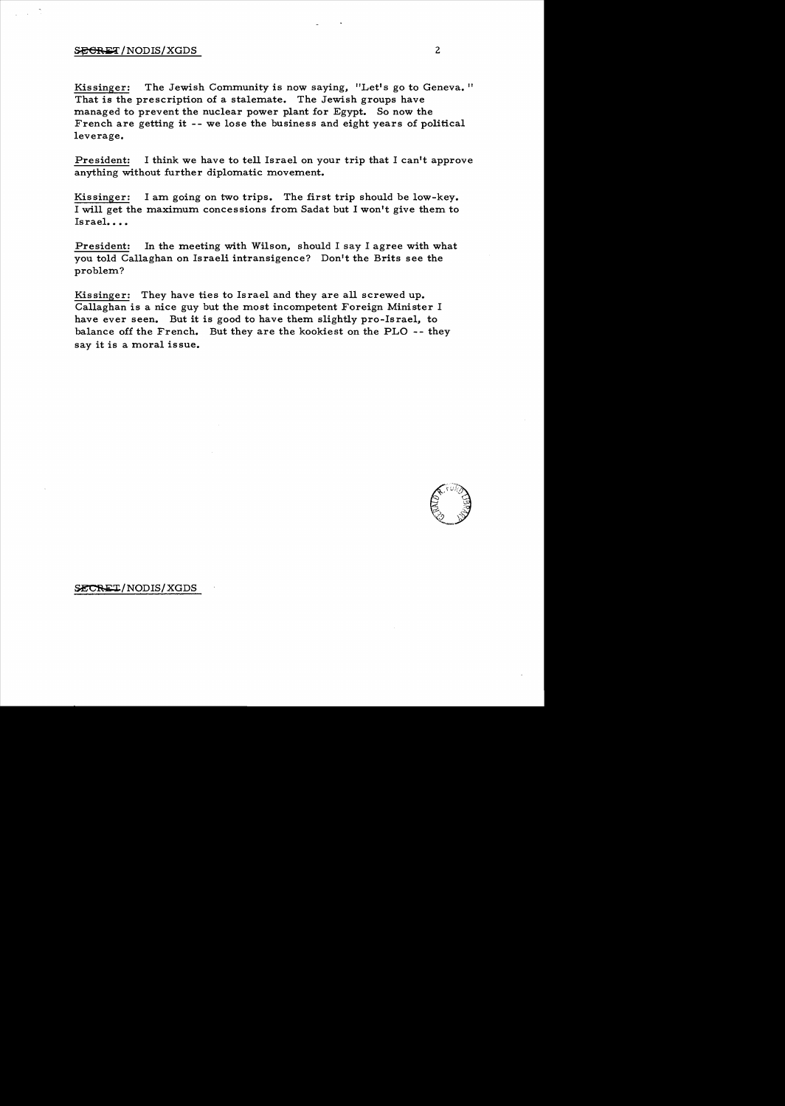## $~S<sub>F</sub><sub>F</sub><sub>C</sub><sub>F</sub>$  (NODIS/XGDS 2

Kissinger: The Jewish Community is now saying, "Let's go to Geneva. " That is the prescription of a stalemate. The Jewish groups have managed to prevent the nuclear power plant for Egypt. So now the French are getting it -- we lose the business and eight years of political leverage.

President: I think we have to tell Israel on your trip that I can't approve anything without further diplomatic movement.

Kissinger: I am going on two trips. The first trip should be low-key. I will get the maximum concessions from Sadat but I won't give them to Israel....

President: In the meeting with Wilson, should I say I agree with what you told Callaghan on Israeli intransigence? Don't the Brits see the problem?

Kissinger: They have ties to Israel and they are all screwed up. Callaghan is a nice guy but the most incompetent Foreign Minister I have ever seen. But it is good to have them slightly pro-Israel, to balance off the French. But they are the kookiest on the PLO -- they say it is a moral issue.



SECRET/NODIS/XGDS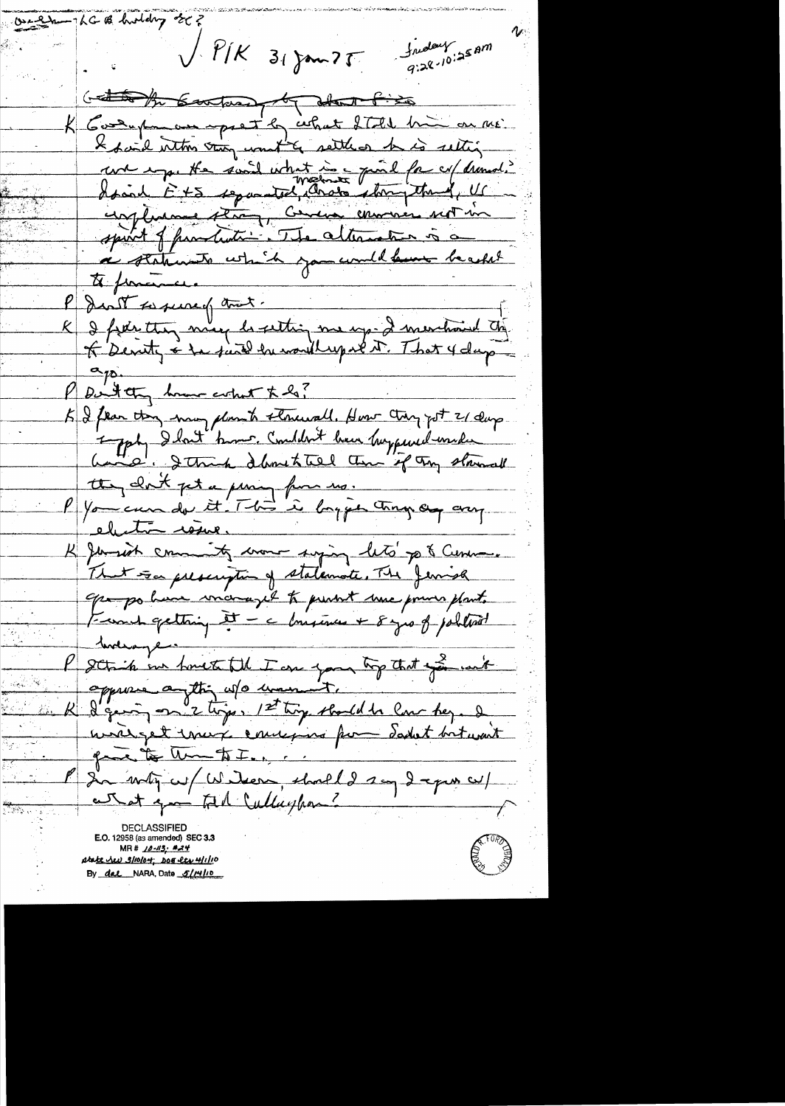OscelanghGB holding off fredery som  $\bigvee$   $\mathcal{P}$ / $\kappa$  $31$  Jan 75 Getting the Containing by about Picto K Gosenpa au opert by what ITEL him on me. I have inthis thing won't gettless he is setting une empe the sound what is a pind for cu/ dramatic un flume stron, census environnementaire spirit of partiation. The alternation is a a staturiste which you would have beacht to funciones. K & fier they may de setting me up- I merchand the don't sussie of that. P Dutter home colut to la? K & fear they many plan to structedl. How they got 21 days 1 gody I lout knew. Comblet have happened used tte, dont pet a pering from us. P You can de it 'That' is bayen tragen any K Jemmer comments moment surging lets pe & Cereman. That so prescription of statemente. The Jerrish Opa po have morazed to punt une pour plant. Franck getting it - a brisine + 8 gro of political le sotiet en toute til I au jour top that you with R d'Eurin et ligne le touje standal de la dez. de gave to un to I. ... P de metz cu/ Wilson, should 2 aug de puis cu/ atat qui til Cullaghan? E.O. 12958 (as amene MR# 10-113; #24 pta<u>te her 3/10/04; Doe lev 4/1/1</u>0 By dal NARA, Date 5/14/10